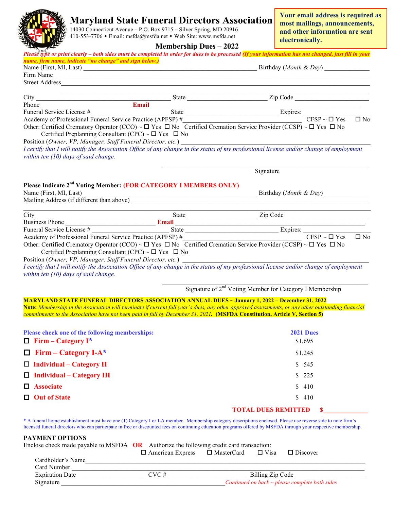## **MARGE Maryland State Funeral Directors Association**

 $\frac{1}{2}$  M  $\frac{14030}{20916}$  Connecticut Avenue – P.O. Box 9715 – Silver Spring, MD 20916  $\sum_{n=1}^{\infty}$  410-553-7706 • Email: msfda@msfda.net • Web Site: www.msfda.net

**Your email address is required as most mailings, announcements, and other information are sent electronically.**

|  |  |  |  | <b>Membership Dues - 2022</b> |
|--|--|--|--|-------------------------------|
|--|--|--|--|-------------------------------|

|                                                                                                                                                                                                                                      | <b>Membership Dues <math>-2022</math></b> |                                                                                                                                                                                                                                                                                                                                 |  |
|--------------------------------------------------------------------------------------------------------------------------------------------------------------------------------------------------------------------------------------|-------------------------------------------|---------------------------------------------------------------------------------------------------------------------------------------------------------------------------------------------------------------------------------------------------------------------------------------------------------------------------------|--|
| name, firm name, indicate "no change" and sign below.)                                                                                                                                                                               |                                           | Please type or print clearly – both sides must be completed in order for dues to be processed (If your information has not changed, just fill in your                                                                                                                                                                           |  |
|                                                                                                                                                                                                                                      |                                           |                                                                                                                                                                                                                                                                                                                                 |  |
|                                                                                                                                                                                                                                      |                                           |                                                                                                                                                                                                                                                                                                                                 |  |
| Street Address <u>and a community of the state of the state of the state of the state of the state of the state of the state of the state of the state of the state of the state of the state of the state of the state of the s</u> |                                           |                                                                                                                                                                                                                                                                                                                                 |  |
|                                                                                                                                                                                                                                      |                                           | City<br>Phone<br>Funeral Service License #<br>Academy of Professional Funeral Service Practice (APFSP) #<br>Other: Certified Cromator: Operator (CCO)<br>The Certified Cromator: Operator (CCO)<br>College Contract CCO)<br>College Cont                                                                                        |  |
|                                                                                                                                                                                                                                      |                                           |                                                                                                                                                                                                                                                                                                                                 |  |
|                                                                                                                                                                                                                                      |                                           |                                                                                                                                                                                                                                                                                                                                 |  |
| Certified Preplanning Consultant (CPC) ~ $\Box$ Yes $\Box$ No                                                                                                                                                                        |                                           | Other: Certified Crematory Operator (CCO) ~ $\Box$ Yes $\Box$ No Certified Cremation Service Provider (CCSP) ~ $\Box$ Yes $\Box$ No                                                                                                                                                                                             |  |
|                                                                                                                                                                                                                                      |                                           |                                                                                                                                                                                                                                                                                                                                 |  |
| within ten $(10)$ days of said change.                                                                                                                                                                                               |                                           |                                                                                                                                                                                                                                                                                                                                 |  |
|                                                                                                                                                                                                                                      |                                           | Signature                                                                                                                                                                                                                                                                                                                       |  |
| Please Indicate 2 <sup>nd</sup> Voting Member: (FOR CATEGORY I MEMBERS ONLY)                                                                                                                                                         |                                           |                                                                                                                                                                                                                                                                                                                                 |  |
| Mailing Address (if different than above)                                                                                                                                                                                            |                                           |                                                                                                                                                                                                                                                                                                                                 |  |
|                                                                                                                                                                                                                                      |                                           |                                                                                                                                                                                                                                                                                                                                 |  |
|                                                                                                                                                                                                                                      |                                           | City<br>Business Phone<br>Funeral Service License #<br>Funeral Service Internal Service Practice (APFSP) #<br>CFSP ~ $\Box$ Yes $\Box$ No                                                                                                                                                                                       |  |
|                                                                                                                                                                                                                                      |                                           |                                                                                                                                                                                                                                                                                                                                 |  |
|                                                                                                                                                                                                                                      |                                           |                                                                                                                                                                                                                                                                                                                                 |  |
|                                                                                                                                                                                                                                      |                                           | Other: Certified Crematory Operator (CCO) ~ $\Box$ Yes $\Box$ No Certified Cremation Service Provider (CCSP) ~ $\Box$ Yes $\Box$ No                                                                                                                                                                                             |  |
| Certified Preplanning Consultant (CPC) ~ $\Box$ Yes $\Box$ No                                                                                                                                                                        |                                           |                                                                                                                                                                                                                                                                                                                                 |  |
|                                                                                                                                                                                                                                      |                                           | Position (Owner, VP, Manager, Staff Funeral Director, etc.)<br>I certify that I will notify the Association Office of any change in the status of my professional license and/or change of employment                                                                                                                           |  |
| within ten $(10)$ days of said change.                                                                                                                                                                                               |                                           |                                                                                                                                                                                                                                                                                                                                 |  |
|                                                                                                                                                                                                                                      |                                           | Signature of 2 <sup>nd</sup> Voting Member for Category I Membership                                                                                                                                                                                                                                                            |  |
|                                                                                                                                                                                                                                      |                                           |                                                                                                                                                                                                                                                                                                                                 |  |
|                                                                                                                                                                                                                                      |                                           | MARYLAND STATE FUNERAL DIRECTORS ASSOCIATION ANNUAL DUES ~ January 1, 2022 - December 31, 2022<br>Note: Membership in the Association will terminate if current full year's dues, any other approved assessments, or any other outstanding financial                                                                            |  |
|                                                                                                                                                                                                                                      |                                           | commitments to the Association have not been paid in full by December 31, 2021. (MSFDA Constitution, Article V, Section 5)                                                                                                                                                                                                      |  |
|                                                                                                                                                                                                                                      |                                           |                                                                                                                                                                                                                                                                                                                                 |  |
| Please check one of the following memberships:                                                                                                                                                                                       |                                           | <b>2021 Dues</b>                                                                                                                                                                                                                                                                                                                |  |
| $\Box$ Firm – Category I*                                                                                                                                                                                                            |                                           | \$1,695                                                                                                                                                                                                                                                                                                                         |  |
| $\Box$ Firm – Category I-A*                                                                                                                                                                                                          |                                           | \$1,245                                                                                                                                                                                                                                                                                                                         |  |
| $\Box$ Individual – Category II                                                                                                                                                                                                      |                                           | \$545                                                                                                                                                                                                                                                                                                                           |  |
| $\Box$ Individual – Category III                                                                                                                                                                                                     |                                           | 225<br>S.                                                                                                                                                                                                                                                                                                                       |  |
| <b>Associate</b><br>$\Box$                                                                                                                                                                                                           |                                           | 410<br>S                                                                                                                                                                                                                                                                                                                        |  |
| <b>Out of State</b><br>$\Box$                                                                                                                                                                                                        |                                           | 410<br>S                                                                                                                                                                                                                                                                                                                        |  |
|                                                                                                                                                                                                                                      |                                           | <b>TOTAL DUES REMITTED</b>                                                                                                                                                                                                                                                                                                      |  |
|                                                                                                                                                                                                                                      |                                           | * A funeral home establishment must have one (1) Category I or I-A member. Membership category descriptions enclosed. Please use reverse side to note firm's<br>licensed funeral directors who can participate in free or discounted fees on continuing education programs offered by MSFDA through your respective membership. |  |
| <b>PAYMENT OPTIONS</b>                                                                                                                                                                                                               |                                           |                                                                                                                                                                                                                                                                                                                                 |  |
| Enclose check made payable to MSFDA OR Authorize the following credit card transaction:                                                                                                                                              |                                           |                                                                                                                                                                                                                                                                                                                                 |  |

|                        | $\Box$ American Express | □ MasterCard | $\Box$ Visa      | $\Box$ Discover                                     |  |
|------------------------|-------------------------|--------------|------------------|-----------------------------------------------------|--|
| Cardholder's Name      |                         |              |                  |                                                     |  |
| Card Number            |                         |              |                  |                                                     |  |
| <b>Expiration Date</b> | $CVC \#$                |              | Billing Zip Code |                                                     |  |
| Signature              |                         |              |                  | Continued on back $\sim$ please complete both sides |  |